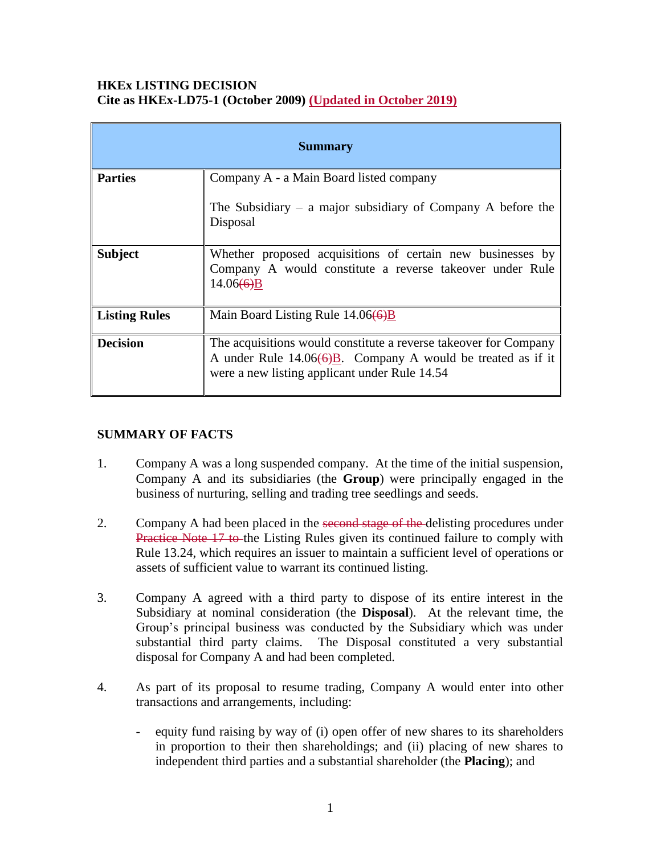#### **HKEx LISTING DECISION Cite as HKEx-LD75-1 (October 2009) (Updated in October 2019)**

| <b>Summary</b>       |                                                                                                                                                                                                          |
|----------------------|----------------------------------------------------------------------------------------------------------------------------------------------------------------------------------------------------------|
| <b>Parties</b>       | Company A - a Main Board listed company                                                                                                                                                                  |
|                      | The Subsidiary – a major subsidiary of Company A before the<br>Disposal                                                                                                                                  |
| <b>Subject</b>       | Whether proposed acquisitions of certain new businesses by<br>Company A would constitute a reverse takeover under Rule<br>14.06(6)B                                                                      |
| <b>Listing Rules</b> | Main Board Listing Rule 14.06(6)B                                                                                                                                                                        |
| <b>Decision</b>      | The acquisitions would constitute a reverse takeover for Company<br>A under Rule $14.06\left(\frac{6}{9}B\right)$ . Company A would be treated as if it<br>were a new listing applicant under Rule 14.54 |

# **SUMMARY OF FACTS**

- 1. Company A was a long suspended company. At the time of the initial suspension, Company A and its subsidiaries (the **Group**) were principally engaged in the business of nurturing, selling and trading tree seedlings and seeds.
- 2. Company A had been placed in the second stage of the delisting procedures under Practice Note 17 to the Listing Rules given its continued failure to comply with Rule 13.24, which requires an issuer to maintain a sufficient level of operations or assets of sufficient value to warrant its continued listing.
- 3. Company A agreed with a third party to dispose of its entire interest in the Subsidiary at nominal consideration (the **Disposal**). At the relevant time, the Group's principal business was conducted by the Subsidiary which was under substantial third party claims. The Disposal constituted a very substantial disposal for Company A and had been completed.
- 4. As part of its proposal to resume trading, Company A would enter into other transactions and arrangements, including:
	- equity fund raising by way of (i) open offer of new shares to its shareholders in proportion to their then shareholdings; and (ii) placing of new shares to independent third parties and a substantial shareholder (the **Placing**); and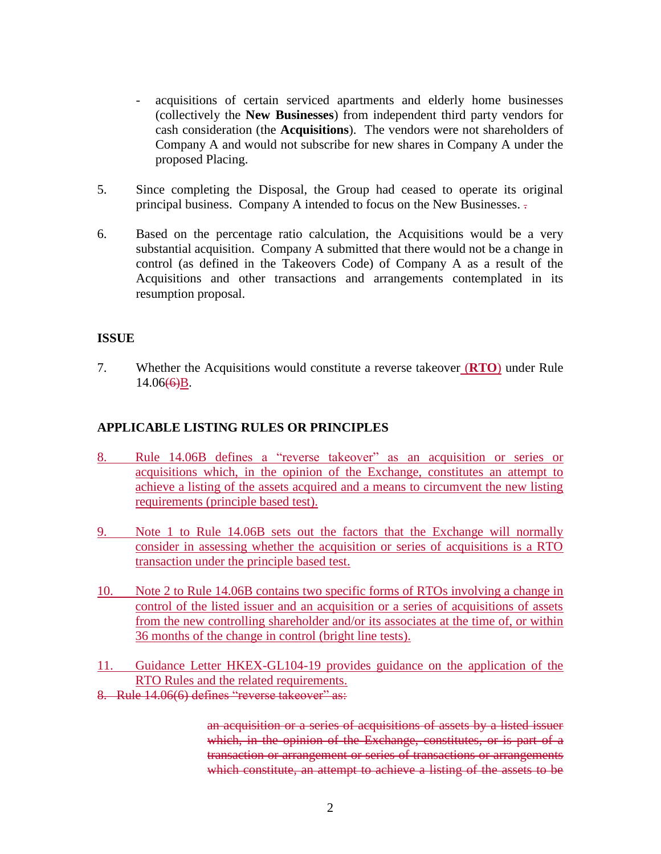- acquisitions of certain serviced apartments and elderly home businesses (collectively the **New Businesses**) from independent third party vendors for cash consideration (the **Acquisitions**). The vendors were not shareholders of Company A and would not subscribe for new shares in Company A under the proposed Placing.
- 5. Since completing the Disposal, the Group had ceased to operate its original principal business. Company A intended to focus on the New Businesses. .
- 6. Based on the percentage ratio calculation, the Acquisitions would be a very substantial acquisition. Company A submitted that there would not be a change in control (as defined in the Takeovers Code) of Company A as a result of the Acquisitions and other transactions and arrangements contemplated in its resumption proposal.

### **ISSUE**

7. Whether the Acquisitions would constitute a reverse takeover (**RTO**) under Rule  $14.06(6)B$ .

## **APPLICABLE LISTING RULES OR PRINCIPLES**

- 8. Rule 14.06B defines a "reverse takeover" as an acquisition or series or acquisitions which, in the opinion of the Exchange, constitutes an attempt to achieve a listing of the assets acquired and a means to circumvent the new listing requirements (principle based test).
- 9. Note 1 to Rule 14.06B sets out the factors that the Exchange will normally consider in assessing whether the acquisition or series of acquisitions is a RTO transaction under the principle based test.
- 10. Note 2 to Rule 14.06B contains two specific forms of RTOs involving a change in control of the listed issuer and an acquisition or a series of acquisitions of assets from the new controlling shareholder and/or its associates at the time of, or within 36 months of the change in control (bright line tests).
- 11. Guidance Letter HKEX-GL104-19 provides guidance on the application of the RTO Rules and the related requirements.
- 8. Rule 14.06(6) defines "reverse takeover" as:

an acquisition or a series of acquisitions of assets by a listed issuer which, in the opinion of the Exchange, constitutes, or is part of a transaction or arrangement or series of transactions or arrangements which constitute, an attempt to achieve a listing of the assets to be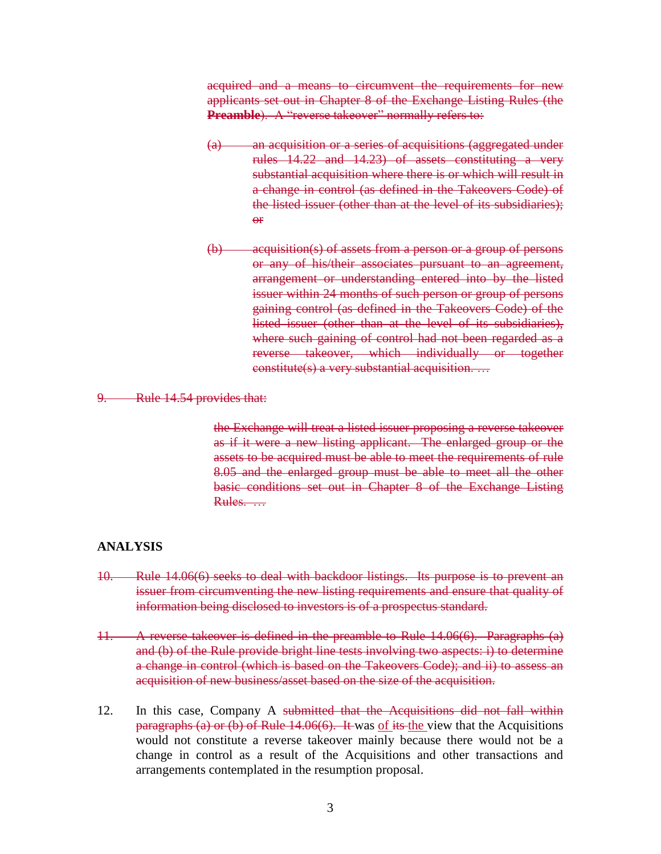acquired and a means to circumvent the requirements for new applicants set out in Chapter 8 of the Exchange Listing Rules (the **Preamble**). A "reverse takeover" normally refers to:

- (a) an acquisition or a series of acquisitions (aggregated under rules 14.22 and 14.23) of assets constituting a very substantial acquisition where there is or which will result in a change in control (as defined in the Takeovers Code) of the listed issuer (other than at the level of its subsidiaries); or
- (b) acquisition(s) of assets from a person or a group of persons or any of his/their associates pursuant to an agreement, arrangement or understanding entered into by the listed issuer within 24 months of such person or group of persons gaining control (as defined in the Takeovers Code) of the listed issuer (other than at the level of its subsidiaries), where such gaining of control had not been regarded as a reverse takeover, which individually or together constitute(s) a very substantial acquisition. …

#### Rule 14.54 provides that:

the Exchange will treat a listed issuer proposing a reverse takeover as if it were a new listing applicant. The enlarged group or the assets to be acquired must be able to meet the requirements of rule 8.05 and the enlarged group must be able to meet all the other basic conditions set out in Chapter 8 of the Exchange Listing Rules. …

#### **ANALYSIS**

- 10. Rule 14.06(6) seeks to deal with backdoor listings. Its purpose is to prevent an issuer from circumventing the new listing requirements and ensure that quality of information being disclosed to investors is of a prospectus standard.
- 11. A reverse takeover is defined in the preamble to Rule 14.06(6). Paragraphs (a) and (b) of the Rule provide bright line tests involving two aspects: i) to determine a change in control (which is based on the Takeovers Code); and ii) to assess an acquisition of new business/asset based on the size of the acquisition.
- 12. In this case, Company A submitted that the Acquisitions did not fall within paragraphs (a) or (b) of Rule 14.06(6). It was  $of$  its the view that the Acquisitions would not constitute a reverse takeover mainly because there would not be a change in control as a result of the Acquisitions and other transactions and arrangements contemplated in the resumption proposal.